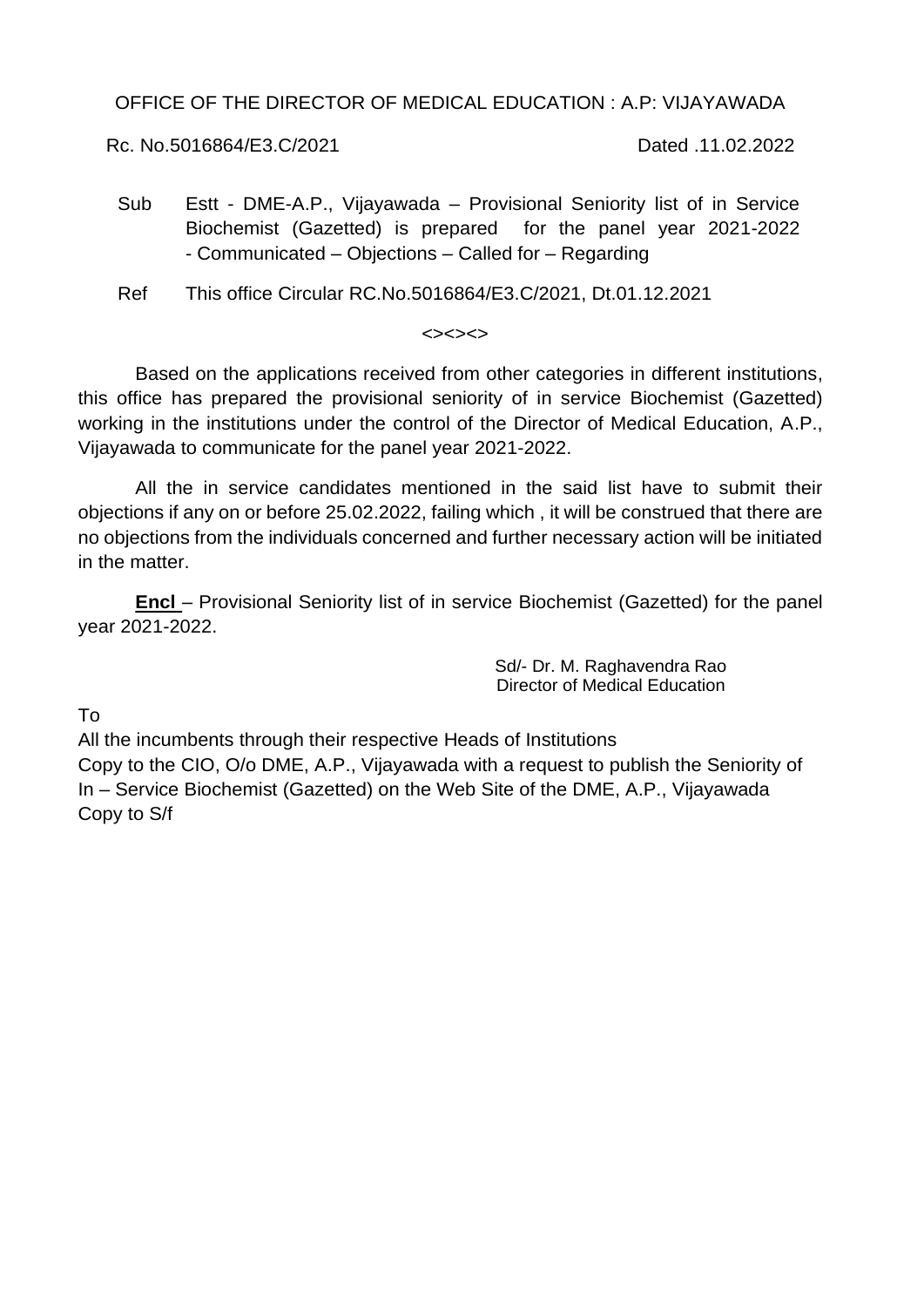OFFICE OF THE DIRECTOR OF MEDICAL EDUCATION : A.P: VIJAYAWADA

Rc. No.5016864/E3.C/2021 Dated .11.02.2022

Sub Estt - DME-A.P., Vijayawada – Provisional Seniority list of in Service Biochemist (Gazetted) is prepared for the panel year 2021-2022 - Communicated – Objections – Called for – Regarding

Ref This office Circular RC.No.5016864/E3.C/2021, Dt.01.12.2021

## $\left\langle \rightarrow\right\rangle \left\langle \rightarrow\right\rangle$

Based on the applications received from other categories in different institutions, this office has prepared the provisional seniority of in service Biochemist (Gazetted) working in the institutions under the control of the Director of Medical Education, A.P., Vijayawada to communicate for the panel year 2021-2022.

All the in service candidates mentioned in the said list have to submit their objections if any on or before 25.02.2022, failing which , it will be construed that there are no objections from the individuals concerned and further necessary action will be initiated in the matter.

**Encl** – Provisional Seniority list of in service Biochemist (Gazetted) for the panel year 2021-2022.

> Sd/- Dr. M. Raghavendra Rao Director of Medical Education

To

All the incumbents through their respective Heads of Institutions Copy to the CIO, O/o DME, A.P., Vijayawada with a request to publish the Seniority of In – Service Biochemist (Gazetted) on the Web Site of the DME, A.P., Vijayawada Copy to S/f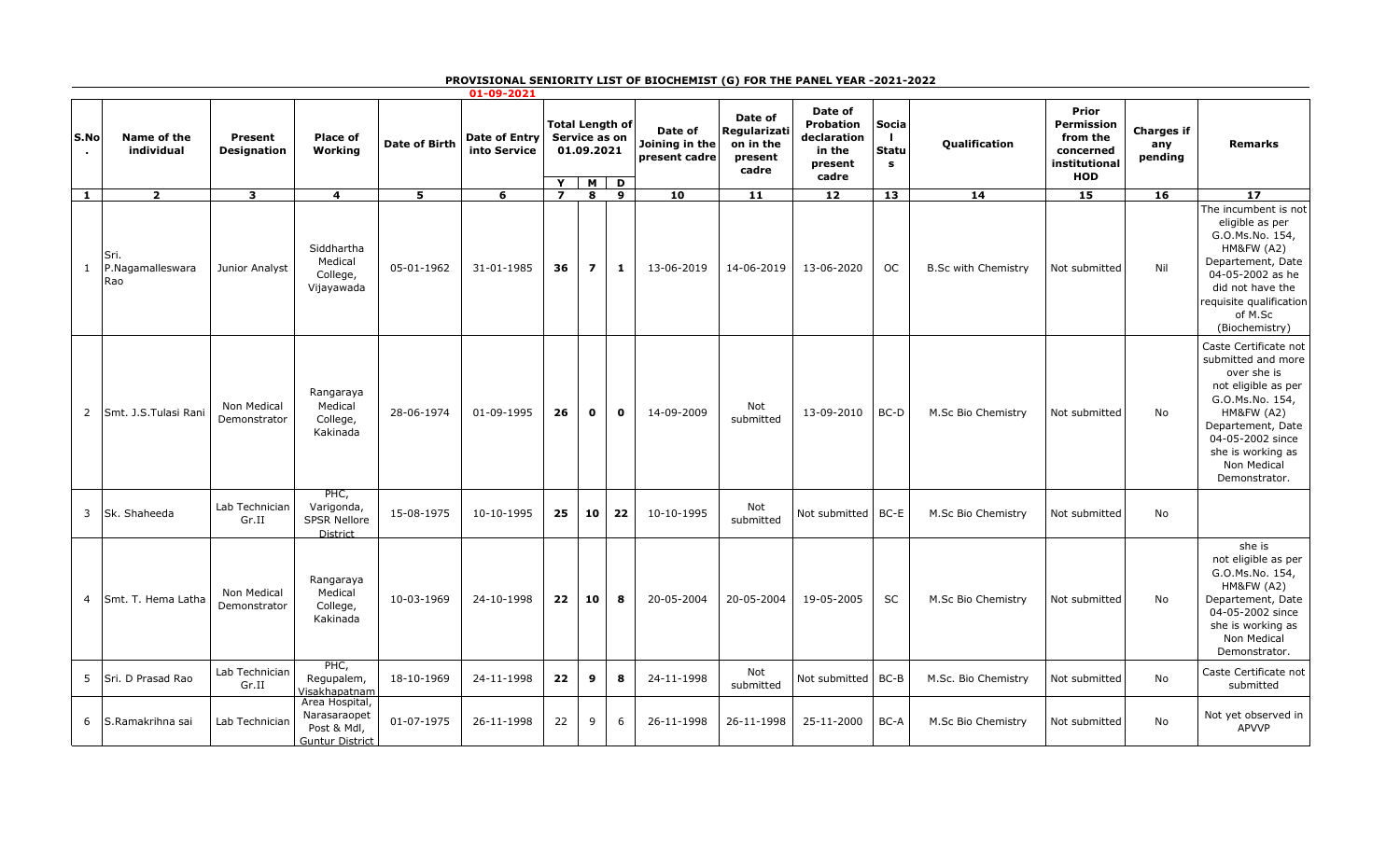## **PROVISIONAL SENIORITY LIST OF BIOCHEMIST (G) FOR THE PANEL YEAR -2021-2022**

| 01-09-2021   |                                 |                               |                                                                         |                         |                                      |                                                                      |                |              |                                            |                                                          |                                                                          |                            |                            |                                                                                    |                                     |                                                                                                                                                                                                                             |
|--------------|---------------------------------|-------------------------------|-------------------------------------------------------------------------|-------------------------|--------------------------------------|----------------------------------------------------------------------|----------------|--------------|--------------------------------------------|----------------------------------------------------------|--------------------------------------------------------------------------|----------------------------|----------------------------|------------------------------------------------------------------------------------|-------------------------------------|-----------------------------------------------------------------------------------------------------------------------------------------------------------------------------------------------------------------------------|
| S.No         | Name of the<br>individual       | Present<br><b>Designation</b> | Place of<br>Working                                                     | <b>Date of Birth</b>    | <b>Date of Entry</b><br>into Service | <b>Total Length of</b><br>Service as on<br>01.09.2021<br>Y<br>M<br>D |                |              | Date of<br>Joining in the<br>present cadre | Date of<br>Regularizati<br>on in the<br>present<br>cadre | Date of<br><b>Probation</b><br>declaration<br>in the<br>present<br>cadre | Socia<br><b>Statu</b><br>s | Qualification              | Prior<br><b>Permission</b><br>from the<br>concerned<br>institutional<br><b>HOD</b> | <b>Charges if</b><br>any<br>pending | <b>Remarks</b>                                                                                                                                                                                                              |
| $\mathbf{1}$ | $\overline{2}$                  | $\overline{\mathbf{3}}$       | $\overline{4}$                                                          | $\overline{\mathbf{5}}$ | $\overline{6}$                       | $\overline{\mathbf{z}}$                                              | 8              | 9            | 10                                         | $\overline{11}$                                          | 12                                                                       | 13                         | 14                         | 15                                                                                 | 16                                  | $\overline{17}$                                                                                                                                                                                                             |
| $\mathbf{1}$ | Sri.<br>P.Nagamalleswara<br>Rao | Junior Analyst                | Siddhartha<br>Medical<br>College,<br>Vijayawada                         | 05-01-1962              | 31-01-1985                           | 36                                                                   | $\overline{ }$ | 1            | 13-06-2019                                 | 14-06-2019                                               | 13-06-2020                                                               | <b>OC</b>                  | <b>B.Sc with Chemistry</b> | Not submitted                                                                      | Nil                                 | The incumbent is not<br>eligible as per<br>G.O.Ms.No. 154,<br>HM&FW (A2)<br>Departement, Date<br>04-05-2002 as he<br>did not have the<br>requisite qualification<br>of M.Sc<br>(Biochemistry)                               |
| 2            | İSmt. J.S.Tulasi Rani           | Non Medical<br>Demonstrator   | Rangaraya<br>Medical<br>College,<br>Kakinada                            | 28-06-1974              | 01-09-1995                           | 26                                                                   | $\mathbf{o}$   | $\mathbf{o}$ | 14-09-2009                                 | Not<br>submitted                                         | 13-09-2010                                                               | BC-D                       | M.Sc Bio Chemistry         | Not submitted                                                                      | No                                  | Caste Certificate not<br>submitted and more<br>over she is<br>not eligible as per<br>G.O.Ms.No. 154,<br><b>HM&amp;FW (A2)</b><br>Departement, Date<br>04-05-2002 since<br>she is working as<br>Non Medical<br>Demonstrator. |
| 3            | Sk. Shaheeda                    | Lab Technician<br>Gr.II       | PHC,<br>Varigonda,<br><b>SPSR Nellore</b><br>District                   | 15-08-1975              | 10-10-1995                           | 25                                                                   | 10             | 22           | 10-10-1995                                 | Not<br>submitted                                         | Not submitted                                                            | BC-E                       | M.Sc Bio Chemistry         | Not submitted                                                                      | No                                  |                                                                                                                                                                                                                             |
| 4            | Smt. T. Hema Latha              | Non Medical<br>Demonstrator   | Rangaraya<br>Medical<br>College,<br>Kakinada                            | 10-03-1969              | 24-10-1998                           | 22                                                                   | 10             | 8            | 20-05-2004                                 | 20-05-2004                                               | 19-05-2005                                                               | <b>SC</b>                  | M.Sc Bio Chemistry         | Not submitted                                                                      | No                                  | she is<br>not eligible as per<br>G.O.Ms.No. 154,<br><b>HM&amp;FW (A2)</b><br>Departement, Date<br>04-05-2002 since<br>she is working as<br>Non Medical<br>Demonstrator.                                                     |
| 5            | Sri. D Prasad Rao               | Lab Technician<br>Gr.II       | PHC,<br>Regupalem,<br>Visakhapatnam                                     | 18-10-1969              | 24-11-1998                           | 22                                                                   | 9              | 8            | 24-11-1998                                 | Not<br>submitted                                         | Not submitted                                                            | BC-B                       | M.Sc. Bio Chemistry        | Not submitted                                                                      | No                                  | Caste Certificate not<br>submitted                                                                                                                                                                                          |
| 6            | S.Ramakrihna sai                | Lab Technician                | Area Hospital,<br>Narasaraopet<br>Post & Mdl,<br><b>Guntur District</b> | 01-07-1975              | 26-11-1998                           | 22                                                                   | 9              | 6            | 26-11-1998                                 | 26-11-1998                                               | 25-11-2000                                                               | BC-A                       | M.Sc Bio Chemistry         | Not submitted                                                                      | No                                  | Not yet observed in<br><b>APVVP</b>                                                                                                                                                                                         |